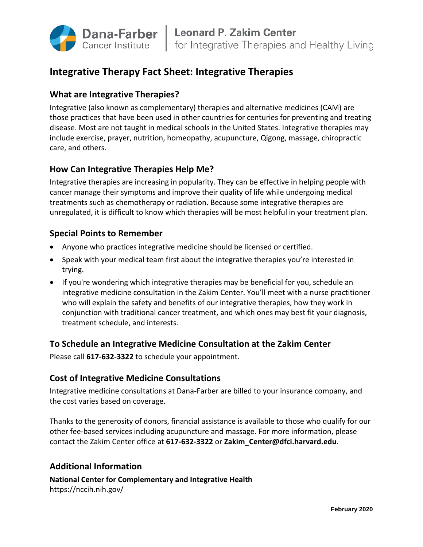

# **Integrative Therapy Fact Sheet: Integrative Therapies**

# **What are Integrative Therapies?**

Integrative (also known as complementary) therapies and alternative medicines (CAM) are those practices that have been used in other countries for centuries for preventing and treating disease. Most are not taught in medical schools in the United States. Integrative therapies may include exercise, prayer, nutrition, homeopathy, acupuncture, Qigong, massage, chiropractic care, and others.

## **How Can Integrative Therapies Help Me?**

Integrative therapies are increasing in popularity. They can be effective in helping people with cancer manage their symptoms and improve their quality of life while undergoing medical treatments such as chemotherapy or radiation. Because some integrative therapies are unregulated, it is difficult to know which therapies will be most helpful in your treatment plan.

#### **Special Points to Remember**

- Anyone who practices integrative medicine should be licensed or certified.
- Speak with your medical team first about the integrative therapies you're interested in trying.
- If you're wondering which integrative therapies may be beneficial for you, schedule an integrative medicine consultation in the Zakim Center. You'll meet with a nurse practitioner who will explain the safety and benefits of our integrative therapies, how they work in conjunction with traditional cancer treatment, and which ones may best fit your diagnosis, treatment schedule, and interests.

#### **To Schedule an Integrative Medicine Consultation at the Zakim Center**

Please call **617-632-3322** to schedule your appointment.

#### **Cost of Integrative Medicine Consultations**

Integrative medicine consultations at Dana-Farber are billed to your insurance company, and the cost varies based on coverage.

Thanks to the generosity of donors, financial assistance is available to those who qualify for our other fee-based services including acupuncture and massage. For more information, please contact the Zakim Center office at **617-632-3322** or **Zakim\_Center@dfci.harvard.edu**.

## **Additional Information**

**National Center for Complementary and Integrative Health** https://nccih.nih.gov/